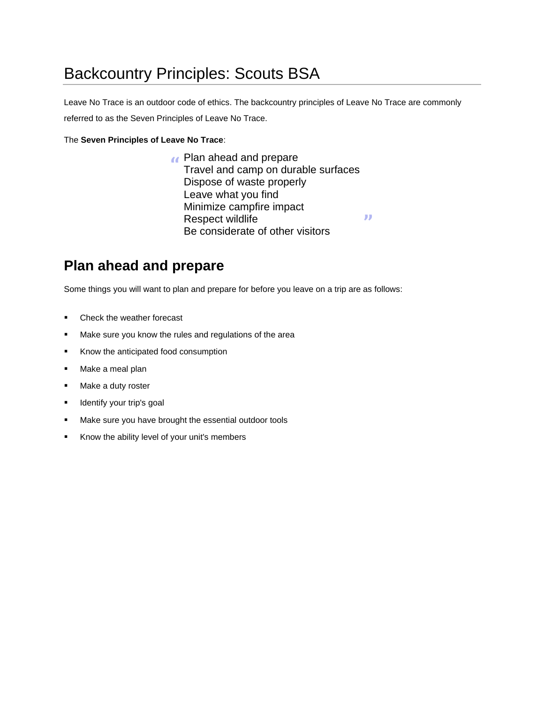# Backcountry Principles: Scouts BSA

Leave No Trace is an outdoor code of ethics. The backcountry principles of Leave No Trace are commonly referred to as the Seven Principles of Leave No Trace.

#### The **Seven Principles of Leave No Trace**:

**"** Plan ahead and prepare Travel and camp on durable surfaces Dispose of waste properly Leave what you find Minimize campfire impact Respect wildlife **Respect wildlife**<br>Be considerate of other visitors

### **Plan ahead and prepare**

Some things you will want to plan and prepare for before you leave on a trip are as follows:

- Check the weather forecast
- Make sure you know the rules and regulations of the area
- Know the anticipated food consumption
- Make a meal plan
- Make a duty roster
- **■** Identify your trip's goal
- Make sure you have brought the essential outdoor tools
- Know the ability level of your unit's members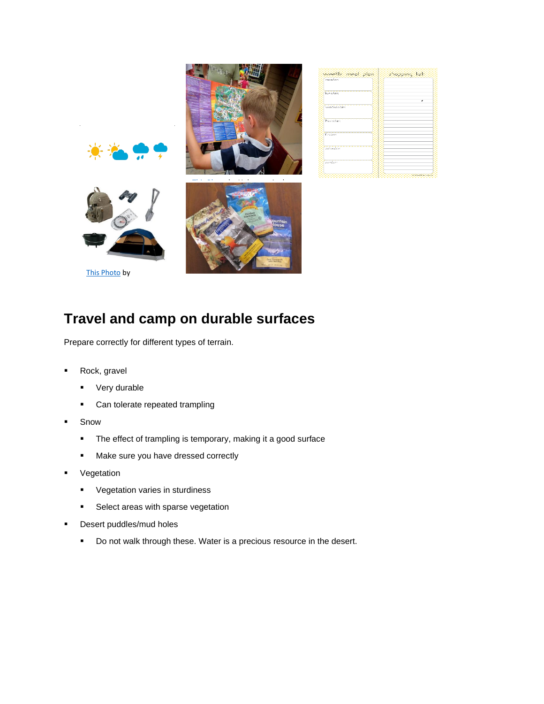

### **Tr[avel](https://creativecommons.org/licenses/by-nc-sa/3.0/) and camp on durable surfaces**

Prepare correctly for different types of terrain.

- Rock, gravel
	- Very durable
	- Can tolerate repeated trampling
- Snow
	- **·** The effect of trampling is temporary, making it a good surface
	- Make sure you have dressed correctly
- Vegetation
	- Vegetation varies in sturdiness
	- **EXE** Select areas with sparse vegetation
- Desert puddles/mud holes
	- Do not walk through these. Water is a precious resource in the desert.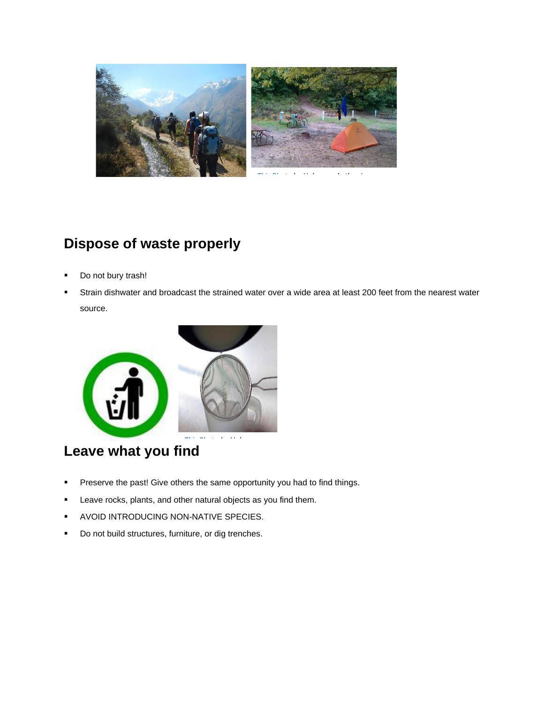

### **Dispose of waste properly**

- Do not bury trash!
- Strain dishwater and broadcast the strained water over a wide area at least 200 feet from the nearest water source.



## **Leave what you fi[nd](https://creativecommons.org/licenses/by-nc-nd/3.0/)**

- **•** Preserve the past! Give others the same opportunity you had to find things.
- Leave rocks, plants, and other natural objects as you find them.
- **AVOID INTRODUCING NON-NATIVE SPECIES.**
- Do not build structures, furniture, or dig trenches.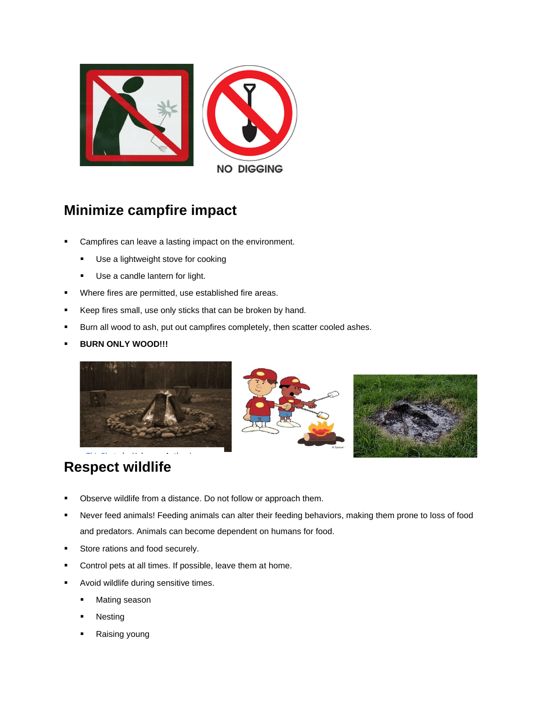

### **Mi[nimize](https://creativecommons.org/licenses/by-nc-sa/3.0/) campfire impact**

- Campfires can leave a lasting impact on the environment.
	- Use a lightweight stove for cooking
	- **■** Use a candle lantern for light.
- Where fires are permitted, use established fire areas.
- Keep fires small, use only sticks that can be broken by hand.
- Burn all wood to ash, put out campfires completely, then scatter cooled ashes.
- **BURN ONLY WOOD!!!**







#### **Respect [wildlife](https://creativecommons.org/licenses/by-sa/3.0/)** [This Photo](http://speartoons.blogspot.com/2009/06/illustration-friday-unfold.html) by Unknown Author is This Photo by Unknown Author is This Photo by Unknown Author is This Photo by<br>Photo by Unknown Author is This Photo by Unknown Author is This Photo by Unknown Author is This Photo by Unkno

- **•** Observe wildlife from a distance. Do not follow or approach them.
- **•** Never feed animals! Feeding animals can alter their feeding behaviors, making them prone to loss of food and predators. Animals can become dependent on humans for food.
- Store rations and food securely.
- Control pets at all times. If possible, leave them at home.
- Avoid wildlife during sensitive times.
	- Mating season
	- **Nesting**
	- Raising young